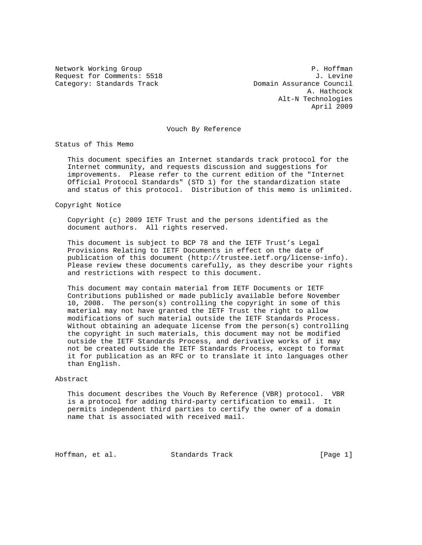Request for Comments: 5518 J. Levine<br>Category: Standards Track Gategory: Standards Track Category: Standards Track

Network Working Group **P. Hoffman**  A. Hathcock Alt-N Technologies April 2009

Vouch By Reference

Status of This Memo

 This document specifies an Internet standards track protocol for the Internet community, and requests discussion and suggestions for improvements. Please refer to the current edition of the "Internet Official Protocol Standards" (STD 1) for the standardization state and status of this protocol. Distribution of this memo is unlimited.

Copyright Notice

 Copyright (c) 2009 IETF Trust and the persons identified as the document authors. All rights reserved.

 This document is subject to BCP 78 and the IETF Trust's Legal Provisions Relating to IETF Documents in effect on the date of publication of this document (http://trustee.ietf.org/license-info). Please review these documents carefully, as they describe your rights and restrictions with respect to this document.

 This document may contain material from IETF Documents or IETF Contributions published or made publicly available before November 10, 2008. The person(s) controlling the copyright in some of this material may not have granted the IETF Trust the right to allow modifications of such material outside the IETF Standards Process. Without obtaining an adequate license from the person(s) controlling the copyright in such materials, this document may not be modified outside the IETF Standards Process, and derivative works of it may not be created outside the IETF Standards Process, except to format it for publication as an RFC or to translate it into languages other than English.

#### Abstract

 This document describes the Vouch By Reference (VBR) protocol. VBR is a protocol for adding third-party certification to email. It permits independent third parties to certify the owner of a domain name that is associated with received mail.

Hoffman, et al. Standards Track [Page 1]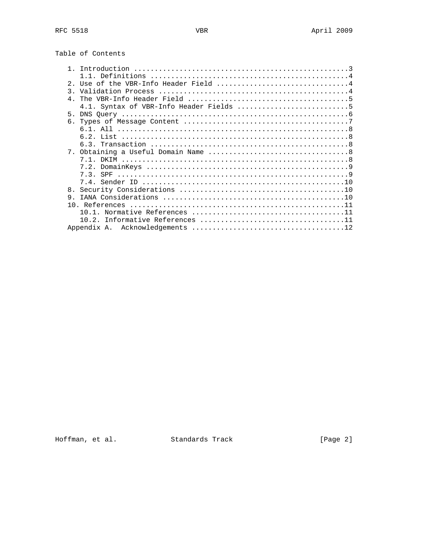| Table of Contents |  |
|-------------------|--|
|-------------------|--|

| Use of the VBR-Info Header Field 4<br>$2^{\circ}$ |  |
|---------------------------------------------------|--|
| $\mathcal{R}$                                     |  |
| $\overline{4}$                                    |  |
|                                                   |  |
|                                                   |  |
|                                                   |  |
|                                                   |  |
|                                                   |  |
|                                                   |  |
|                                                   |  |
|                                                   |  |
|                                                   |  |
|                                                   |  |
|                                                   |  |
| 8.                                                |  |
| 9                                                 |  |
|                                                   |  |
|                                                   |  |
|                                                   |  |
|                                                   |  |
|                                                   |  |

Hoffman, et al. Standards Track [Page 2]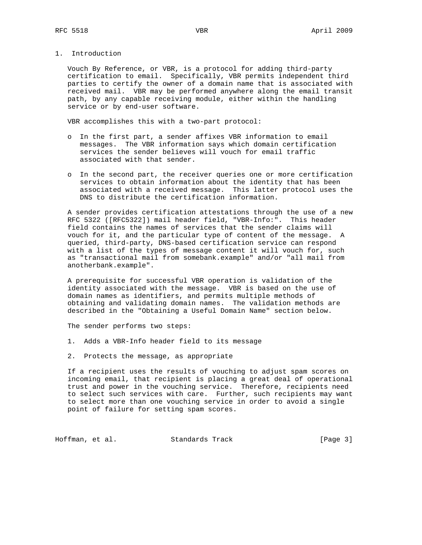1. Introduction

 Vouch By Reference, or VBR, is a protocol for adding third-party certification to email. Specifically, VBR permits independent third parties to certify the owner of a domain name that is associated with received mail. VBR may be performed anywhere along the email transit path, by any capable receiving module, either within the handling service or by end-user software.

VBR accomplishes this with a two-part protocol:

- o In the first part, a sender affixes VBR information to email messages. The VBR information says which domain certification services the sender believes will vouch for email traffic associated with that sender.
- o In the second part, the receiver queries one or more certification services to obtain information about the identity that has been associated with a received message. This latter protocol uses the DNS to distribute the certification information.

 A sender provides certification attestations through the use of a new RFC 5322 ([RFC5322]) mail header field, "VBR-Info:". This header field contains the names of services that the sender claims will vouch for it, and the particular type of content of the message. A queried, third-party, DNS-based certification service can respond with a list of the types of message content it will vouch for, such as "transactional mail from somebank.example" and/or "all mail from anotherbank.example".

 A prerequisite for successful VBR operation is validation of the identity associated with the message. VBR is based on the use of domain names as identifiers, and permits multiple methods of obtaining and validating domain names. The validation methods are described in the "Obtaining a Useful Domain Name" section below.

The sender performs two steps:

- 1. Adds a VBR-Info header field to its message
- 2. Protects the message, as appropriate

 If a recipient uses the results of vouching to adjust spam scores on incoming email, that recipient is placing a great deal of operational trust and power in the vouching service. Therefore, recipients need to select such services with care. Further, such recipients may want to select more than one vouching service in order to avoid a single point of failure for setting spam scores.

Hoffman, et al. Standards Track [Page 3]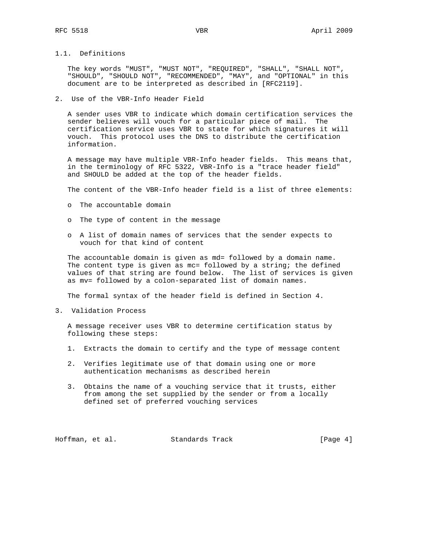### 1.1. Definitions

 The key words "MUST", "MUST NOT", "REQUIRED", "SHALL", "SHALL NOT", "SHOULD", "SHOULD NOT", "RECOMMENDED", "MAY", and "OPTIONAL" in this document are to be interpreted as described in [RFC2119].

#### 2. Use of the VBR-Info Header Field

 A sender uses VBR to indicate which domain certification services the sender believes will vouch for a particular piece of mail. The certification service uses VBR to state for which signatures it will vouch. This protocol uses the DNS to distribute the certification information.

 A message may have multiple VBR-Info header fields. This means that, in the terminology of RFC 5322, VBR-Info is a "trace header field" and SHOULD be added at the top of the header fields.

The content of the VBR-Info header field is a list of three elements:

- o The accountable domain
- o The type of content in the message
- o A list of domain names of services that the sender expects to vouch for that kind of content

The accountable domain is given as md= followed by a domain name. The content type is given as mc= followed by a string; the defined values of that string are found below. The list of services is given as mv= followed by a colon-separated list of domain names.

The formal syntax of the header field is defined in Section 4.

3. Validation Process

 A message receiver uses VBR to determine certification status by following these steps:

- 1. Extracts the domain to certify and the type of message content
- 2. Verifies legitimate use of that domain using one or more authentication mechanisms as described herein
- 3. Obtains the name of a vouching service that it trusts, either from among the set supplied by the sender or from a locally defined set of preferred vouching services

Hoffman, et al. Standards Track [Page 4]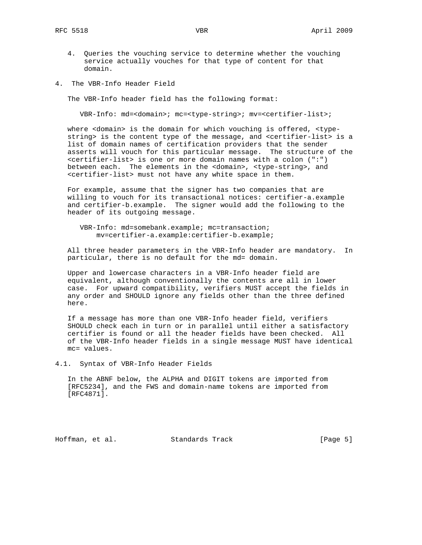- 4. Queries the vouching service to determine whether the vouching service actually vouches for that type of content for that domain.
- 4. The VBR-Info Header Field

The VBR-Info header field has the following format:

VBR-Info: md=<domain>; mc=<type-string>; mv=<certifier-list>;

 where <domain> is the domain for which vouching is offered, <type string> is the content type of the message, and <certifier-list> is a list of domain names of certification providers that the sender asserts will vouch for this particular message. The structure of the <certifier-list> is one or more domain names with a colon (":") between each. The elements in the <domain>, <type-string>, and <certifier-list> must not have any white space in them.

 For example, assume that the signer has two companies that are willing to vouch for its transactional notices: certifier-a.example and certifier-b.example. The signer would add the following to the header of its outgoing message.

 VBR-Info: md=somebank.example; mc=transaction; mv=certifier-a.example:certifier-b.example;

 All three header parameters in the VBR-Info header are mandatory. In particular, there is no default for the md= domain.

 Upper and lowercase characters in a VBR-Info header field are equivalent, although conventionally the contents are all in lower case. For upward compatibility, verifiers MUST accept the fields in any order and SHOULD ignore any fields other than the three defined here.

 If a message has more than one VBR-Info header field, verifiers SHOULD check each in turn or in parallel until either a satisfactory certifier is found or all the header fields have been checked. All of the VBR-Info header fields in a single message MUST have identical mc= values.

4.1. Syntax of VBR-Info Header Fields

 In the ABNF below, the ALPHA and DIGIT tokens are imported from [RFC5234], and the FWS and domain-name tokens are imported from [RFC4871].

Hoffman, et al. Standards Track [Page 5]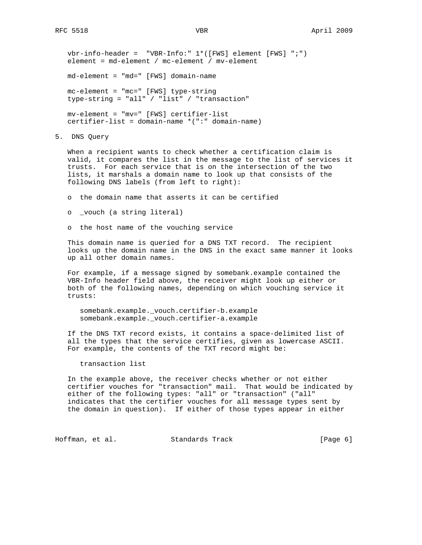vbr-info-header = "VBR-Info:" 1\*([FWS] element [FWS] ";") element = md-element / mc-element / mv-element

md-element = "md=" [FWS] domain-name

 mc-element = "mc=" [FWS] type-string type-string = "all" / "list" / "transaction"

 mv-element = "mv=" [FWS] certifier-list certifier-list = domain-name \*(":" domain-name)

5. DNS Query

 When a recipient wants to check whether a certification claim is valid, it compares the list in the message to the list of services it trusts. For each service that is on the intersection of the two lists, it marshals a domain name to look up that consists of the following DNS labels (from left to right):

- o the domain name that asserts it can be certified
- o \_vouch (a string literal)
- o the host name of the vouching service

 This domain name is queried for a DNS TXT record. The recipient looks up the domain name in the DNS in the exact same manner it looks up all other domain names.

 For example, if a message signed by somebank.example contained the VBR-Info header field above, the receiver might look up either or both of the following names, depending on which vouching service it trusts:

 somebank.example.\_vouch.certifier-b.example somebank.example.\_vouch.certifier-a.example

 If the DNS TXT record exists, it contains a space-delimited list of all the types that the service certifies, given as lowercase ASCII. For example, the contents of the TXT record might be:

transaction list

 In the example above, the receiver checks whether or not either certifier vouches for "transaction" mail. That would be indicated by either of the following types: "all" or "transaction" ("all" indicates that the certifier vouches for all message types sent by the domain in question). If either of those types appear in either

Hoffman, et al. Standards Track [Page 6]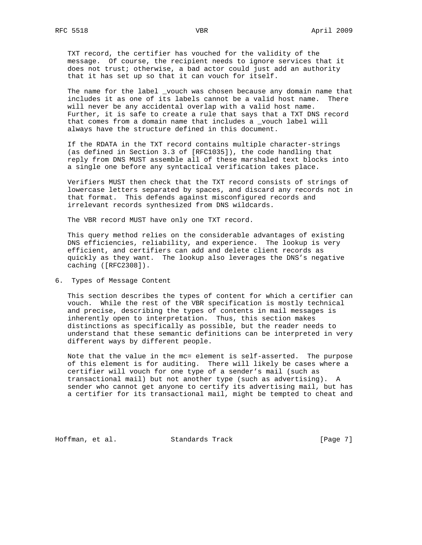TXT record, the certifier has vouched for the validity of the message. Of course, the recipient needs to ignore services that it does not trust; otherwise, a bad actor could just add an authority that it has set up so that it can vouch for itself.

 The name for the label \_vouch was chosen because any domain name that includes it as one of its labels cannot be a valid host name. There will never be any accidental overlap with a valid host name. Further, it is safe to create a rule that says that a TXT DNS record that comes from a domain name that includes a \_vouch label will always have the structure defined in this document.

 If the RDATA in the TXT record contains multiple character-strings (as defined in Section 3.3 of [RFC1035]), the code handling that reply from DNS MUST assemble all of these marshaled text blocks into a single one before any syntactical verification takes place.

 Verifiers MUST then check that the TXT record consists of strings of lowercase letters separated by spaces, and discard any records not in that format. This defends against misconfigured records and irrelevant records synthesized from DNS wildcards.

The VBR record MUST have only one TXT record.

 This query method relies on the considerable advantages of existing DNS efficiencies, reliability, and experience. The lookup is very efficient, and certifiers can add and delete client records as quickly as they want. The lookup also leverages the DNS's negative caching ([RFC2308]).

6. Types of Message Content

 This section describes the types of content for which a certifier can vouch. While the rest of the VBR specification is mostly technical and precise, describing the types of contents in mail messages is inherently open to interpretation. Thus, this section makes distinctions as specifically as possible, but the reader needs to understand that these semantic definitions can be interpreted in very different ways by different people.

 Note that the value in the mc= element is self-asserted. The purpose of this element is for auditing. There will likely be cases where a certifier will vouch for one type of a sender's mail (such as transactional mail) but not another type (such as advertising). A sender who cannot get anyone to certify its advertising mail, but has a certifier for its transactional mail, might be tempted to cheat and

Hoffman, et al. Standards Track [Page 7]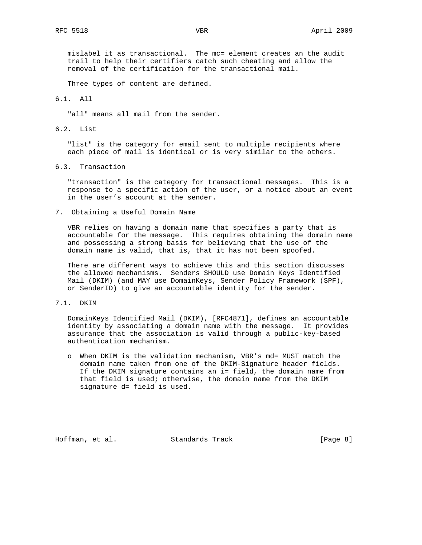mislabel it as transactional. The mc= element creates an the audit trail to help their certifiers catch such cheating and allow the removal of the certification for the transactional mail.

Three types of content are defined.

#### 6.1. All

"all" means all mail from the sender.

6.2. List

 "list" is the category for email sent to multiple recipients where each piece of mail is identical or is very similar to the others.

6.3. Transaction

 "transaction" is the category for transactional messages. This is a response to a specific action of the user, or a notice about an event in the user's account at the sender.

7. Obtaining a Useful Domain Name

 VBR relies on having a domain name that specifies a party that is accountable for the message. This requires obtaining the domain name and possessing a strong basis for believing that the use of the domain name is valid, that is, that it has not been spoofed.

 There are different ways to achieve this and this section discusses the allowed mechanisms. Senders SHOULD use Domain Keys Identified Mail (DKIM) (and MAY use DomainKeys, Sender Policy Framework (SPF), or SenderID) to give an accountable identity for the sender.

7.1. DKIM

 DomainKeys Identified Mail (DKIM), [RFC4871], defines an accountable identity by associating a domain name with the message. It provides assurance that the association is valid through a public-key-based authentication mechanism.

 o When DKIM is the validation mechanism, VBR's md= MUST match the domain name taken from one of the DKIM-Signature header fields. If the DKIM signature contains an i= field, the domain name from that field is used; otherwise, the domain name from the DKIM signature d= field is used.

Hoffman, et al. Standards Track [Page 8]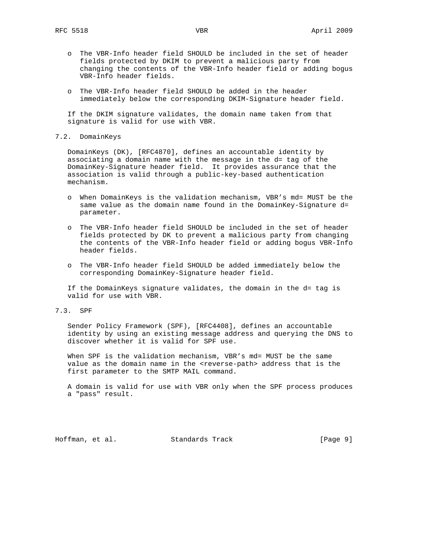- o The VBR-Info header field SHOULD be included in the set of header fields protected by DKIM to prevent a malicious party from changing the contents of the VBR-Info header field or adding bogus VBR-Info header fields.
- o The VBR-Info header field SHOULD be added in the header immediately below the corresponding DKIM-Signature header field.

 If the DKIM signature validates, the domain name taken from that signature is valid for use with VBR.

### 7.2. DomainKeys

 DomainKeys (DK), [RFC4870], defines an accountable identity by associating a domain name with the message in the d= tag of the DomainKey-Signature header field. It provides assurance that the association is valid through a public-key-based authentication mechanism.

- o When DomainKeys is the validation mechanism, VBR's md= MUST be the same value as the domain name found in the DomainKey-Signature d= parameter.
- o The VBR-Info header field SHOULD be included in the set of header fields protected by DK to prevent a malicious party from changing the contents of the VBR-Info header field or adding bogus VBR-Info header fields.
- o The VBR-Info header field SHOULD be added immediately below the corresponding DomainKey-Signature header field.

 If the DomainKeys signature validates, the domain in the d= tag is valid for use with VBR.

7.3. SPF

 Sender Policy Framework (SPF), [RFC4408], defines an accountable identity by using an existing message address and querying the DNS to discover whether it is valid for SPF use.

When SPF is the validation mechanism, VBR's md= MUST be the same value as the domain name in the <reverse-path> address that is the first parameter to the SMTP MAIL command.

 A domain is valid for use with VBR only when the SPF process produces a "pass" result.

Hoffman, et al. Standards Track [Page 9]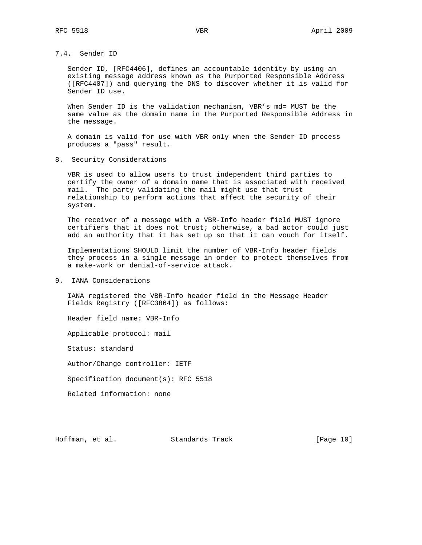### 7.4. Sender ID

 Sender ID, [RFC4406], defines an accountable identity by using an existing message address known as the Purported Responsible Address ([RFC4407]) and querying the DNS to discover whether it is valid for Sender ID use.

When Sender ID is the validation mechanism, VBR's md= MUST be the same value as the domain name in the Purported Responsible Address in the message.

 A domain is valid for use with VBR only when the Sender ID process produces a "pass" result.

8. Security Considerations

 VBR is used to allow users to trust independent third parties to certify the owner of a domain name that is associated with received mail. The party validating the mail might use that trust relationship to perform actions that affect the security of their system.

 The receiver of a message with a VBR-Info header field MUST ignore certifiers that it does not trust; otherwise, a bad actor could just add an authority that it has set up so that it can vouch for itself.

 Implementations SHOULD limit the number of VBR-Info header fields they process in a single message in order to protect themselves from a make-work or denial-of-service attack.

# 9. IANA Considerations

 IANA registered the VBR-Info header field in the Message Header Fields Registry ([RFC3864]) as follows:

Header field name: VBR-Info

Applicable protocol: mail

Status: standard

Author/Change controller: IETF

Specification document(s): RFC 5518

Related information: none

Hoffman, et al. Standards Track [Page 10]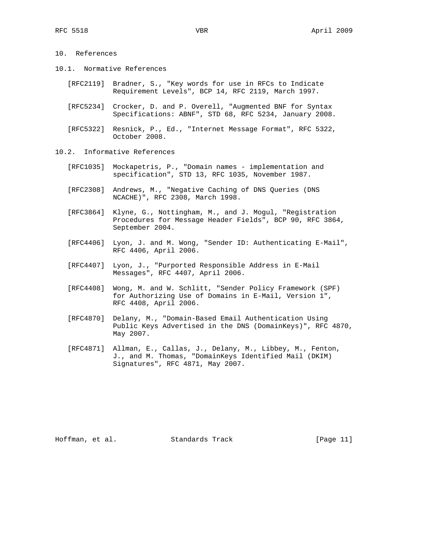## 10. References

- 10.1. Normative References
	- [RFC2119] Bradner, S., "Key words for use in RFCs to Indicate Requirement Levels", BCP 14, RFC 2119, March 1997.
	- [RFC5234] Crocker, D. and P. Overell, "Augmented BNF for Syntax Specifications: ABNF", STD 68, RFC 5234, January 2008.
	- [RFC5322] Resnick, P., Ed., "Internet Message Format", RFC 5322, October 2008.
- 10.2. Informative References
	- [RFC1035] Mockapetris, P., "Domain names implementation and specification", STD 13, RFC 1035, November 1987.
	- [RFC2308] Andrews, M., "Negative Caching of DNS Queries (DNS NCACHE)", RFC 2308, March 1998.
	- [RFC3864] Klyne, G., Nottingham, M., and J. Mogul, "Registration Procedures for Message Header Fields", BCP 90, RFC 3864, September 2004.
	- [RFC4406] Lyon, J. and M. Wong, "Sender ID: Authenticating E-Mail", RFC 4406, April 2006.
	- [RFC4407] Lyon, J., "Purported Responsible Address in E-Mail Messages", RFC 4407, April 2006.
	- [RFC4408] Wong, M. and W. Schlitt, "Sender Policy Framework (SPF) for Authorizing Use of Domains in E-Mail, Version 1", RFC 4408, April 2006.
	- [RFC4870] Delany, M., "Domain-Based Email Authentication Using Public Keys Advertised in the DNS (DomainKeys)", RFC 4870, May 2007.
	- [RFC4871] Allman, E., Callas, J., Delany, M., Libbey, M., Fenton, J., and M. Thomas, "DomainKeys Identified Mail (DKIM) Signatures", RFC 4871, May 2007.

Hoffman, et al. Standards Track [Page 11]